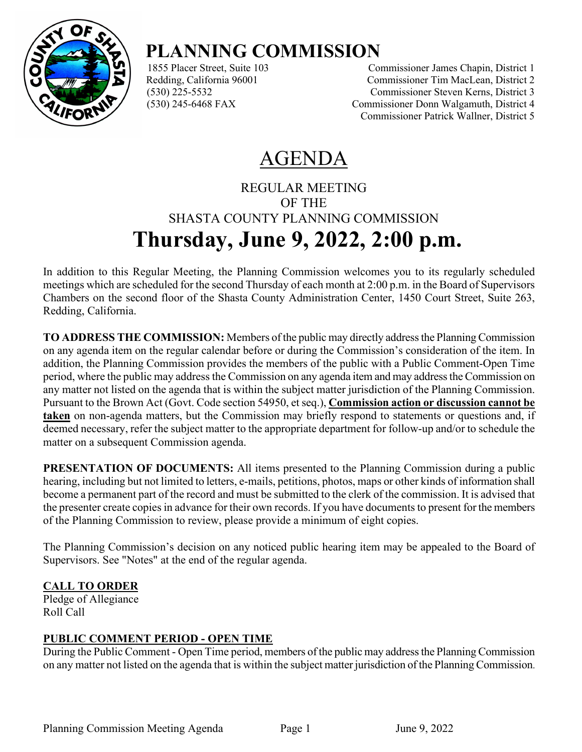

# **PLANNING COMMISSION**

Commissioner James Chapin, District 1 Redding, California 96001 Commissioner Tim MacLean, District 2 (530) 225-5532 Commissioner Steven Kerns, District 3 (530) 245-6468 FAX Commissioner Donn Walgamuth, District 4 Commissioner Patrick Wallner, District 5

## AGENDA

### REGULAR MEETING OF THE SHASTA COUNTY PLANNING COMMISSION **Thursday, June 9, 2022, 2:00 p.m.**

In addition to this Regular Meeting, the Planning Commission welcomes you to its regularly scheduled meetings which are scheduled for the second Thursday of each month at 2:00 p.m. in the Board of Supervisors Chambers on the second floor of the Shasta County Administration Center, 1450 Court Street, Suite 263, Redding, California.

**TO ADDRESS THE COMMISSION:** Members of the public may directly address the Planning Commission on any agenda item on the regular calendar before or during the Commission's consideration of the item. In addition, the Planning Commission provides the members of the public with a Public Comment-Open Time period, where the public may address the Commission on any agenda item and may address the Commission on any matter not listed on the agenda that is within the subject matter jurisdiction of the Planning Commission. Pursuant to the Brown Act (Govt. Code section 54950, et seq.), **Commission action or discussion cannot be taken** on non-agenda matters, but the Commission may briefly respond to statements or questions and, if deemed necessary, refer the subject matter to the appropriate department for follow-up and/or to schedule the matter on a subsequent Commission agenda.

**PRESENTATION OF DOCUMENTS:** All items presented to the Planning Commission during a public hearing, including but not limited to letters, e-mails, petitions, photos, maps or other kinds of information shall become a permanent part of the record and must be submitted to the clerk of the commission. It is advised that the presenter create copies in advance for their own records. If you have documents to present for the members of the Planning Commission to review, please provide a minimum of eight copies.

The Planning Commission's decision on any noticed public hearing item may be appealed to the Board of Supervisors. See "Notes" at the end of the regular agenda.

#### **CALL TO ORDER**

Pledge of Allegiance Roll Call

#### **PUBLIC COMMENT PERIOD - OPEN TIME**

During the Public Comment - Open Time period, members of the public may address the Planning Commission on any matter not listed on the agenda that is within the subject matter jurisdiction of the Planning Commission.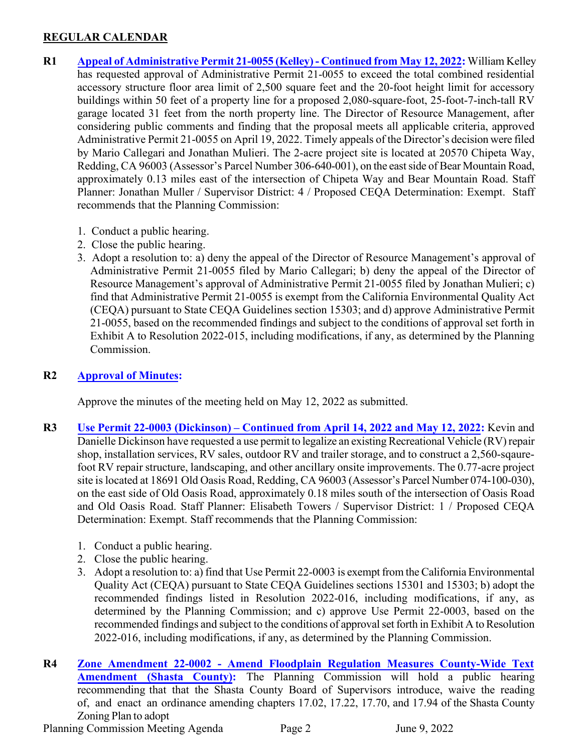#### **REGULAR CALENDAR**

- **R1 Appeal [of Administrative Permit 21-0055](https://www.co.shasta.ca.us/docs/libraries/resource-management-docs/staff-reports/2022/june/r1060922.pdf) (Kelley) Continued from May 12, 2022:** William Kelley has requested approval of Administrative Permit 21-0055 to exceed the total combined residential accessory structure floor area limit of 2,500 square feet and the 20-foot height limit for accessory buildings within 50 feet of a property line for a proposed 2,080-square-foot, 25-foot-7-inch-tall RV garage located 31 feet from the north property line. The Director of Resource Management, after considering public comments and finding that the proposal meets all applicable criteria, approved Administrative Permit 21-0055 on April 19, 2022. Timely appeals of the Director's decision were filed by Mario Callegari and Jonathan Mulieri. The 2-acre project site is located at 20570 Chipeta Way, Redding, CA 96003 (Assessor's Parcel Number 306-640-001), on the eastside of Bear Mountain Road, approximately 0.13 miles east of the intersection of Chipeta Way and Bear Mountain Road. Staff Planner: Jonathan Muller / Supervisor District: 4 / Proposed CEQA Determination: Exempt. Staff recommends that the Planning Commission:
	- 1. Conduct a public hearing.
	- 2. Close the public hearing.
	- 3. Adopt a resolution to: a) deny the appeal of the Director of Resource Management's approval of Administrative Permit 21-0055 filed by Mario Callegari; b) deny the appeal of the Director of Resource Management's approval of Administrative Permit 21-0055 filed by Jonathan Mulieri; c) find that Administrative Permit 21-0055 is exempt from the California Environmental Quality Act (CEQA) pursuant to State CEQA Guidelines section 15303; and d) approve Administrative Permit 21-0055, based on the recommended findings and subject to the conditions of approval set forth in Exhibit A to Resolution 2022-015, including modifications, if any, as determined by the Planning Commission.

#### **R2 [Approval of Minutes:](https://www.co.shasta.ca.us/docs/libraries/resource-management-docs/minutes/2022/05-12-22-draft-minutes.pdf)**

Approve the minutes of the meeting held on May 12, 2022 as submitted.

- **R3 [Use Permit 22-0003 \(Dickinson\) Continued from April 14, 2022 and May 12, 2022:](https://www.co.shasta.ca.us/docs/libraries/resource-management-docs/staff-reports/2022/june/r3060922.pdf)** Kevin and Danielle Dickinson have requested a use permit to legalize an existing Recreational Vehicle (RV) repair shop, installation services, RV sales, outdoor RV and trailer storage, and to construct a 2,560-sqaurefoot RV repair structure, landscaping, and other ancillary onsite improvements. The 0.77-acre project site is located at 18691 Old Oasis Road, Redding, CA 96003 (Assessor's Parcel Number 074-100-030), on the east side of Old Oasis Road, approximately 0.18 miles south of the intersection of Oasis Road and Old Oasis Road. Staff Planner: Elisabeth Towers / Supervisor District: 1 / Proposed CEQA Determination: Exempt. Staff recommends that the Planning Commission:
	- 1. Conduct a public hearing.
	- 2. Close the public hearing.
	- 3. Adopt a resolution to: a) find that Use Permit 22-0003 is exempt from the California Environmental Quality Act (CEQA) pursuant to State CEQA Guidelines sections 15301 and 15303; b) adopt the recommended findings listed in Resolution 2022-016, including modifications, if any, as determined by the Planning Commission; and c) approve Use Permit 22-0003, based on the recommended findings and subject to the conditions of approval set forth in Exhibit A to Resolution 2022-016, including modifications, if any, as determined by the Planning Commission.
- **R4 [Zone Amendment 22-0002 Amend Floodplain Regulation Measures](https://www.co.shasta.ca.us/docs/libraries/resource-management-docs/staff-reports/2022/june/r4060422.pdf) County-Wide Text Amendment (Shasta County):** The Planning Commission will hold a public hearing recommending that that the Shasta County Board of Supervisors introduce, waive the reading of, and enact an ordinance amending chapters 17.02, 17.22, 17.70, and 17.94 of the Shasta County Zoning Plan to adopt

Planning Commission Meeting Agenda Page 2 June 9, 2022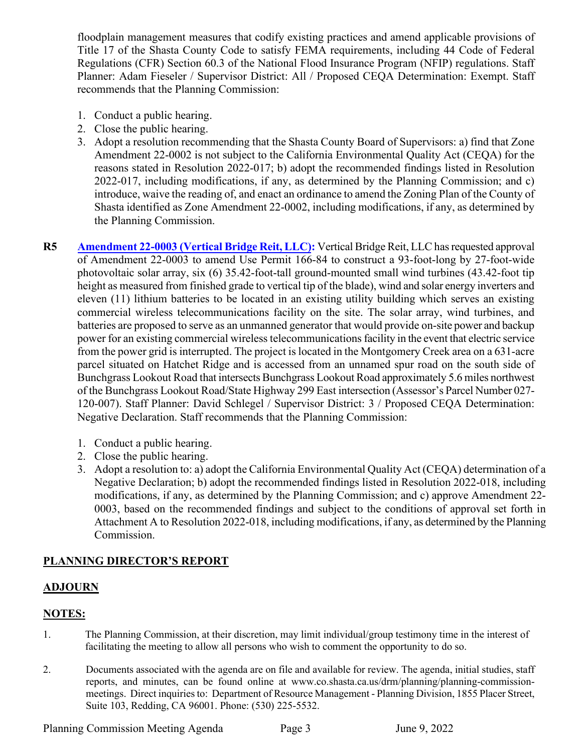floodplain management measures that codify existing practices and amend applicable provisions of Title 17 of the Shasta County Code to satisfy FEMA requirements, including 44 Code of Federal Regulations (CFR) Section 60.3 of the National Flood Insurance Program (NFIP) regulations. Staff Planner: Adam Fieseler / Supervisor District: All / Proposed CEQA Determination: Exempt. Staff recommends that the Planning Commission:

- 1. Conduct a public hearing.
- 2. Close the public hearing.
- 3. Adopt a resolution recommending that the Shasta County Board of Supervisors: a) find that Zone Amendment 22-0002 is not subject to the California Environmental Quality Act (CEQA) for the reasons stated in Resolution 2022-017; b) adopt the recommended findings listed in Resolution 2022-017, including modifications, if any, as determined by the Planning Commission; and c) introduce, waive the reading of, and enact an ordinance to amend the Zoning Plan of the County of Shasta identified as Zone Amendment 22-0002, including modifications, if any, as determined by the Planning Commission.
- **R5 [Amendment 22-0003 \(Vertical](https://www.co.shasta.ca.us/docs/libraries/resource-management-docs/staff-reports/2022/june/r5060922.pdf) Bridge Reit, LLC):** Vertical Bridge Reit, LLC hasrequested approval of Amendment 22-0003 to amend Use Permit 166-84 to construct a 93-foot-long by 27-foot-wide photovoltaic solar array, six (6) 35.42-foot-tall ground-mounted small wind turbines (43.42-foot tip height as measured from finished grade to vertical tip of the blade), wind and solar energy inverters and eleven (11) lithium batteries to be located in an existing utility building which serves an existing commercial wireless telecommunications facility on the site. The solar array, wind turbines, and batteries are proposed to serve as an unmanned generator that would provide on-site power and backup power for an existing commercial wireless telecommunications facility in the event that electric service from the power grid is interrupted. The project is located in the Montgomery Creek area on a 631-acre parcel situated on Hatchet Ridge and is accessed from an unnamed spur road on the south side of Bunchgrass Lookout Road that intersects Bunchgrass Lookout Road approximately 5.6 miles northwest of the Bunchgrass Lookout Road/State Highway 299 East intersection (Assessor's Parcel Number 027- 120-007). Staff Planner: David Schlegel / Supervisor District: 3 / Proposed CEQA Determination: Negative Declaration. Staff recommends that the Planning Commission:
	- 1. Conduct a public hearing.
	- 2. Close the public hearing.
	- 3. Adopt a resolution to: a) adopt the California Environmental Quality Act (CEQA) determination of a Negative Declaration; b) adopt the recommended findings listed in Resolution 2022-018, including modifications, if any, as determined by the Planning Commission; and c) approve Amendment 22- 0003, based on the recommended findings and subject to the conditions of approval set forth in Attachment A to Resolution 2022-018, including modifications, if any, as determined by the Planning Commission.

#### **PLANNING DIRECTOR'S REPORT**

#### **ADJOURN**

#### **NOTES:**

- 1. The Planning Commission, at their discretion, may limit individual/group testimony time in the interest of facilitating the meeting to allow all persons who wish to comment the opportunity to do so.
- 2. Documents associated with the agenda are on file and available for review. The agenda, initial studies, staff reports, and minutes, can be found online at [www.co.shasta.ca.us/drm/planning/](http://www.co.shasta.ca.us/drm/planning)planning-commissionmeetings. Direct inquiriesto: Department of Resource Management - Planning Division, 1855 Placer Street, Suite 103, Redding, CA 96001. Phone: (530) 225-5532.

Planning Commission Meeting Agenda Page 3 June 9, 2022